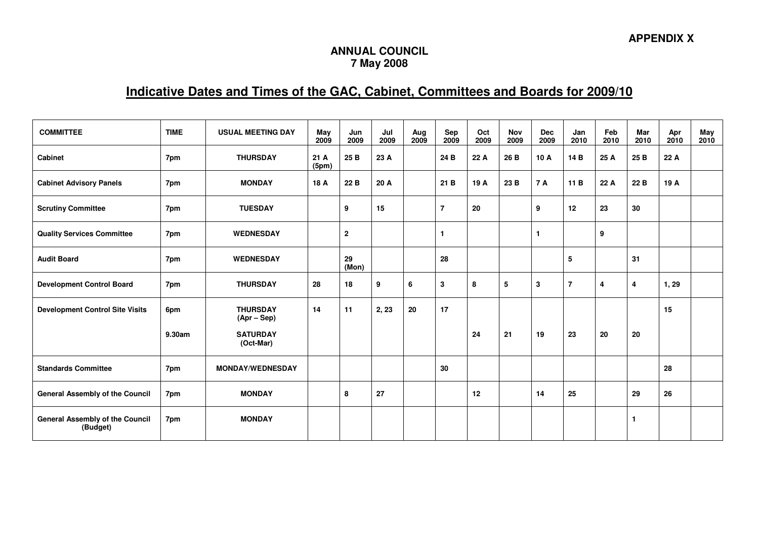## **ANNUAL COUNCIL 7 May 2008**

## **Indicative Dates and Times of the GAC, Cabinet, Committees and Boards for 2009/10**

| <b>COMMITTEE</b>                                   | <b>TIME</b> | <b>USUAL MEETING DAY</b>         | May<br>2009  | Jun<br>2009    | Jul<br>2009 | Aug<br>2009 | Sep<br>2009    | Oct<br>2009 | <b>Nov</b><br>2009 | <b>Dec</b><br>2009 | Jan<br>2010    | Feb<br>2010 | Mar<br>2010 | Apr<br>2010 | May<br>2010 |
|----------------------------------------------------|-------------|----------------------------------|--------------|----------------|-------------|-------------|----------------|-------------|--------------------|--------------------|----------------|-------------|-------------|-------------|-------------|
| <b>Cabinet</b>                                     | 7pm         | <b>THURSDAY</b>                  | 21A<br>(5pm) | 25 B           | 23 A        |             | 24 B           | 22 A        | 26 B               | 10 A               | 14 B           | 25 A        | 25 B        | 22 A        |             |
| <b>Cabinet Advisory Panels</b>                     | 7pm         | <b>MONDAY</b>                    | 18 A         | 22 B           | 20 A        |             | 21 B           | 19 A        | 23 B               | <b>7 A</b>         | 11 B           | 22 A        | 22 B        | 19 A        |             |
| <b>Scrutiny Committee</b>                          | 7pm         | <b>TUESDAY</b>                   |              | 9              | 15          |             | $\overline{7}$ | 20          |                    | 9                  | 12             | 23          | 30          |             |             |
| <b>Quality Services Committee</b>                  | 7pm         | <b>WEDNESDAY</b>                 |              | $\overline{2}$ |             |             | 1              |             |                    | $\mathbf{1}$       |                | 9           |             |             |             |
| <b>Audit Board</b>                                 | 7pm         | <b>WEDNESDAY</b>                 |              | 29<br>(Mon)    |             |             | 28             |             |                    |                    | 5              |             | 31          |             |             |
| <b>Development Control Board</b>                   | 7pm         | <b>THURSDAY</b>                  | 28           | 18             | 9           | 6           | 3              | 8           | 5                  | 3                  | $\overline{7}$ | 4           | 4           | 1, 29       |             |
| <b>Development Control Site Visits</b>             | 6pm         | <b>THURSDAY</b><br>$(Apr - Sep)$ | 14           | 11             | 2, 23       | 20          | 17             |             |                    |                    |                |             |             | 15          |             |
|                                                    | 9.30am      | <b>SATURDAY</b><br>(Oct-Mar)     |              |                |             |             |                | 24          | 21                 | 19                 | 23             | 20          | 20          |             |             |
| <b>Standards Committee</b>                         | 7pm         | <b>MONDAY/WEDNESDAY</b>          |              |                |             |             | 30             |             |                    |                    |                |             |             | 28          |             |
| <b>General Assembly of the Council</b>             | 7pm         | <b>MONDAY</b>                    |              | 8              | 27          |             |                | 12          |                    | 14                 | 25             |             | 29          | 26          |             |
| <b>General Assembly of the Council</b><br>(Budget) | 7pm         | <b>MONDAY</b>                    |              |                |             |             |                |             |                    |                    |                |             | 1           |             |             |